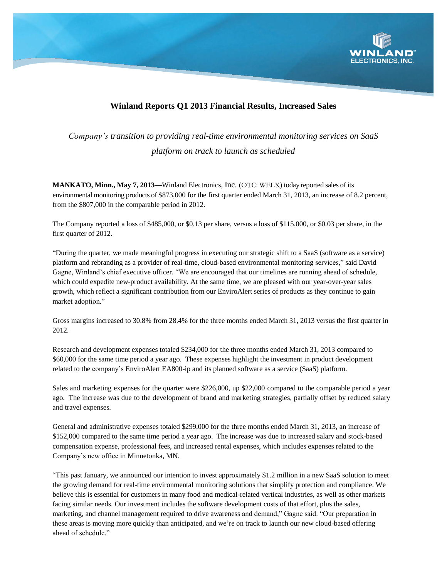

## **Winland Reports Q1 2013 Financial Results, Increased Sales**

*Company's transition to providing real-time environmental monitoring services on SaaS platform on track to launch as scheduled*

**MANKATO, Minn., May 7, 2013—**Winland Electronics, Inc. (OTC: WELX) today reported sales of its environmental monitoring products of \$873,000 for the first quarter ended March 31, 2013, an increase of 8.2 percent, from the \$807,000 in the comparable period in 2012.

The Company reported a loss of \$485,000, or \$0.13 per share, versus a loss of \$115,000, or \$0.03 per share, in the first quarter of 2012.

"During the quarter, we made meaningful progress in executing our strategic shift to a SaaS (software as a service) platform and rebranding as a provider of real-time, cloud-based environmental monitoring services," said David Gagne, Winland's chief executive officer. "We are encouraged that our timelines are running ahead of schedule, which could expedite new-product availability. At the same time, we are pleased with our year-over-year sales growth, which reflect a significant contribution from our EnviroAlert series of products as they continue to gain market adoption."

Gross margins increased to 30.8% from 28.4% for the three months ended March 31, 2013 versus the first quarter in 2012.

Research and development expenses totaled \$234,000 for the three months ended March 31, 2013 compared to \$60,000 for the same time period a year ago. These expenses highlight the investment in product development related to the company's EnviroAlert EA800-ip and its planned software as a service (SaaS) platform.

Sales and marketing expenses for the quarter were \$226,000, up \$22,000 compared to the comparable period a year ago. The increase was due to the development of brand and marketing strategies, partially offset by reduced salary and travel expenses.

General and administrative expenses totaled \$299,000 for the three months ended March 31, 2013, an increase of \$152,000 compared to the same time period a year ago. The increase was due to increased salary and stock-based compensation expense, professional fees, and increased rental expenses, which includes expenses related to the Company's new office in Minnetonka, MN.

"This past January, we announced our intention to invest approximately \$1.2 million in a new SaaS solution to meet the growing demand for real-time environmental monitoring solutions that simplify protection and compliance. We believe this is essential for customers in many food and medical-related vertical industries, as well as other markets facing similar needs. Our investment includes the software development costs of that effort, plus the sales, marketing, and channel management required to drive awareness and demand," Gagne said. "Our preparation in these areas is moving more quickly than anticipated, and we're on track to launch our new cloud-based offering ahead of schedule."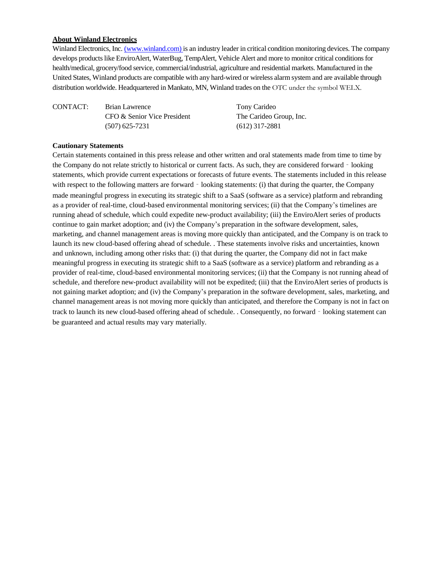#### **About Winland Electronics**

Winland Electronics, Inc. (www.winland.com) is an industry leader in critical condition monitoring devices. The company develops products like EnviroAlert, WaterBug, TempAlert, Vehicle Alert and more to monitor critical conditions for health/medical, grocery/food service, commercial/industrial, agriculture and residential markets. Manufactured in the United States, Winland products are compatible with any hard-wired or wireless alarm system and are available through distribution worldwide. Headquartered in Mankato, MN, Winland trades on the OTC under the symbol WELX.

| CONTACT: | Brian Lawrence              | Tony Carideo            |
|----------|-----------------------------|-------------------------|
|          | CFO & Senior Vice President | The Carideo Group, Inc. |
|          | $(507)$ 625-7231            | $(612)$ 317-2881        |

#### **Cautionary Statements**

Certain statements contained in this press release and other written and oral statements made from time to time by the Company do not relate strictly to historical or current facts. As such, they are considered forward - looking statements, which provide current expectations or forecasts of future events. The statements included in this release with respect to the following matters are forward - looking statements: (i) that during the quarter, the Company made meaningful progress in executing its strategic shift to a SaaS (software as a service) platform and rebranding as a provider of real-time, cloud-based environmental monitoring services; (ii) that the Company's timelines are running ahead of schedule, which could expedite new-product availability; (iii) the EnviroAlert series of products continue to gain market adoption; and (iv) the Company's preparation in the software development, sales, marketing, and channel management areas is moving more quickly than anticipated, and the Company is on track to launch its new cloud-based offering ahead of schedule. . These statements involve risks and uncertainties, known and unknown, including among other risks that: (i) that during the quarter, the Company did not in fact make meaningful progress in executing its strategic shift to a SaaS (software as a service) platform and rebranding as a provider of real-time, cloud-based environmental monitoring services; (ii) that the Company is not running ahead of schedule, and therefore new-product availability will not be expedited; (iii) that the EnviroAlert series of products is not gaining market adoption; and (iv) the Company's preparation in the software development, sales, marketing, and channel management areas is not moving more quickly than anticipated, and therefore the Company is not in fact on track to launch its new cloud-based offering ahead of schedule. . Consequently, no forward‐looking statement can be guaranteed and actual results may vary materially.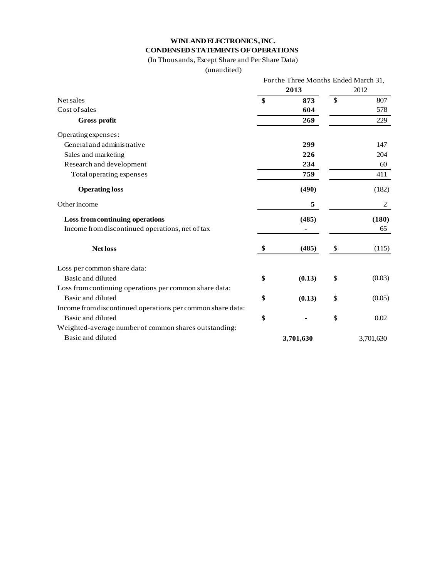#### **WINLANDELECTRONICS,INC. CONDENSEDSTATEMENTS OFOPERATIONS**

(In Thousands, Except Share and Per Share Data)

(unaudited)

|                                                            | For the Three Months Ended March 31, |        |               |        |  |
|------------------------------------------------------------|--------------------------------------|--------|---------------|--------|--|
|                                                            | 2013                                 |        | 2012          |        |  |
| Net sales                                                  | \$                                   | 873    | $\mathcal{S}$ | 807    |  |
| Cost of sales                                              |                                      | 604    |               | 578    |  |
| <b>Gross profit</b>                                        |                                      | 269    |               | 229    |  |
| Operating expenses:                                        |                                      |        |               |        |  |
| General and administrative                                 |                                      | 299    | 147           |        |  |
| Sales and marketing                                        | 226                                  |        |               | 204    |  |
| Research and development                                   | 234                                  |        | 60            |        |  |
| Total operating expenses                                   | 759                                  |        | 411           |        |  |
| <b>Operating loss</b>                                      |                                      | (490)  |               | (182)  |  |
| Other income                                               |                                      | 5      |               | 2      |  |
| Loss from continuing operations                            |                                      | (485)  |               | (180)  |  |
| Income from discontinued operations, net of tax            |                                      |        |               | 65     |  |
| <b>Net loss</b>                                            | \$.                                  | (485)  | $\mathbb{S}$  | (115)  |  |
| Loss per common share data:                                |                                      |        |               |        |  |
| Basic and diluted                                          | \$                                   | (0.13) | \$            | (0.03) |  |
| Loss from continuing operations per common share data:     |                                      |        |               |        |  |
| Basic and diluted                                          | \$                                   | (0.13) | \$            | (0.05) |  |
| Income from discontinued operations per common share data: |                                      |        |               |        |  |
| Basic and diluted                                          |                                      |        | \$            | 0.02   |  |
| Weighted-average number of common shares outstanding:      |                                      |        |               |        |  |
| Basic and diluted                                          | 3,701,630                            |        | 3,701,630     |        |  |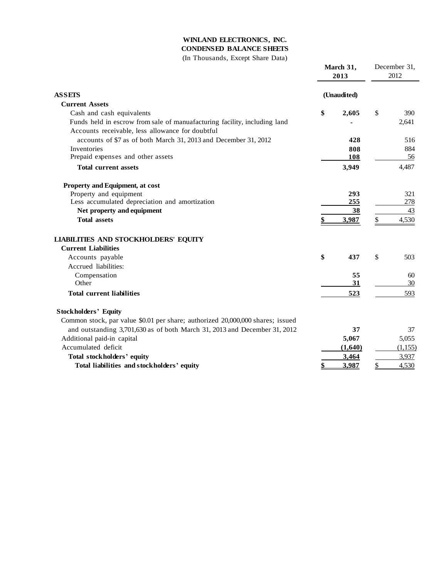# **WINLAND ELECTRONICS, INC.**

# **CONDENSED BALANCE SHEETS**

(In Thousands, Except Share Data)

|                                                                                |             | March 31,<br>2013 |    | December 31,<br>2012 |  |
|--------------------------------------------------------------------------------|-------------|-------------------|----|----------------------|--|
| <b>ASSETS</b>                                                                  | (Unaudited) |                   |    |                      |  |
| <b>Current Assets</b>                                                          |             |                   |    |                      |  |
| Cash and cash equivalents                                                      | \$          | 2,605             | \$ | 390                  |  |
| Funds held in escrow from sale of manuafacturing facility, including land      |             |                   |    | 2,641                |  |
| Accounts receivable, less allowance for doubtful                               |             |                   |    |                      |  |
| accounts of \$7 as of both March 31, 2013 and December 31, 2012                |             | 428               |    | 516                  |  |
| Inventories                                                                    |             | 808               |    | 884                  |  |
| Prepaid expenses and other assets                                              |             | 108               |    | 56                   |  |
| <b>Total current assets</b>                                                    |             | 3,949             |    | 4,487                |  |
| Property and Equipment, at cost                                                |             |                   |    |                      |  |
| Property and equipment                                                         |             | 293               |    | 321                  |  |
| Less accumulated depreciation and amortization                                 |             | 255               |    | 278                  |  |
| Net property and equipment                                                     |             | 38                |    | 43                   |  |
| <b>Total assets</b>                                                            |             | 3,987             | \$ | 4,530                |  |
| <b>LIABILITIES AND STOCKHOLDERS' EQUITY</b>                                    |             |                   |    |                      |  |
| <b>Current Liabilities</b>                                                     |             |                   |    |                      |  |
| Accounts payable                                                               | \$          | 437               | \$ | 503                  |  |
| Accrued liabilities:                                                           |             |                   |    |                      |  |
| Compensation                                                                   |             | 55                |    | 60                   |  |
| Other                                                                          |             | 31                |    | 30                   |  |
| <b>Total current liabilities</b>                                               |             | 523               |    | 593                  |  |
| <b>Stockholders' Equity</b>                                                    |             |                   |    |                      |  |
| Common stock, par value \$0.01 per share; authorized 20,000,000 shares; issued |             |                   |    |                      |  |
| and outstanding 3,701,630 as of both March 31, 2013 and December 31, 2012      |             | 37                |    | 37                   |  |
| Additional paid-in capital                                                     |             | 5,067             |    | 5,055                |  |
| Accumulated deficit                                                            |             | (1,640)           |    | (1,155)              |  |
| Total stockholders' equity                                                     |             | 3,464             |    | 3,937                |  |
| Total liabilities and stockholders' equity                                     |             | 3,987             |    | 4,530                |  |